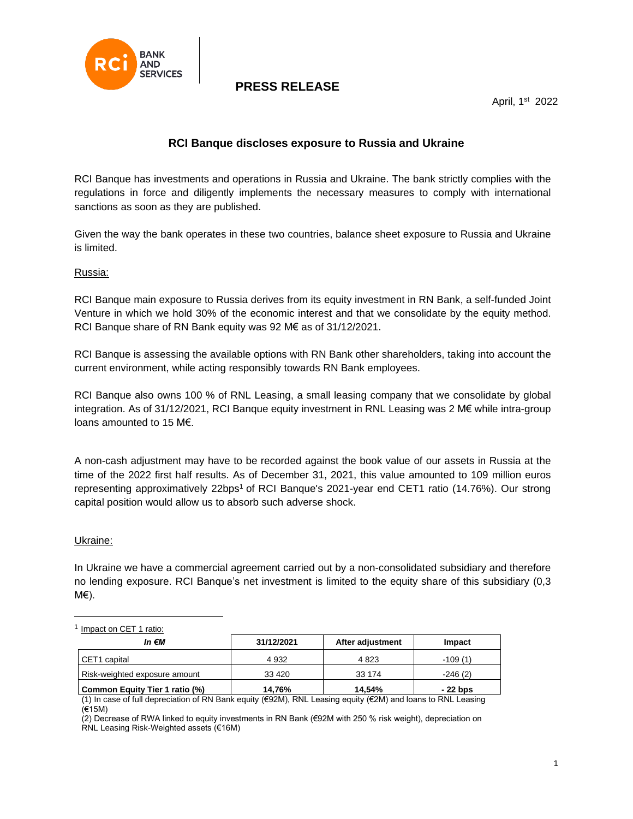

## **PRESS RELEASE**

April, 1st 2022

### **RCI Banque discloses exposure to Russia and Ukraine**

RCI Banque has investments and operations in Russia and Ukraine. The bank strictly complies with the regulations in force and diligently implements the necessary measures to comply with international sanctions as soon as they are published.

Given the way the bank operates in these two countries, balance sheet exposure to Russia and Ukraine is limited.

### Russia:

RCI Banque main exposure to Russia derives from its equity investment in RN Bank, a self-funded Joint Venture in which we hold 30% of the economic interest and that we consolidate by the equity method. RCI Banque share of RN Bank equity was 92 M€ as of 31/12/2021.

RCI Banque is assessing the available options with RN Bank other shareholders, taking into account the current environment, while acting responsibly towards RN Bank employees.

RCI Banque also owns 100 % of RNL Leasing, a small leasing company that we consolidate by global integration. As of 31/12/2021, RCI Banque equity investment in RNL Leasing was 2 M€ while intra-group loans amounted to 15 M€.

A non-cash adjustment may have to be recorded against the book value of our assets in Russia at the time of the 2022 first half results. As of December 31, 2021, this value amounted to 109 million euros representing approximatively 22bps<sup>1</sup> of RCI Banque's 2021-year end CET1 ratio (14.76%). Our strong capital position would allow us to absorb such adverse shock.

#### Ukraine:

In Ukraine we have a commercial agreement carried out by a non-consolidated subsidiary and therefore no lending exposure. RCI Banque's net investment is limited to the equity share of this subsidiary (0,3 M€).

<sup>1</sup> Impact on CET 1 ratio:

| In €M                          | 31/12/2021 | After adjustment | Impact    |
|--------------------------------|------------|------------------|-----------|
| CET1 capital                   | 4 9 32     | 4823             | $-109(1)$ |
| Risk-weighted exposure amount  | 33 4 20    | 33 174           | $-246(2)$ |
| Common Equity Tier 1 ratio (%) | 14.76%     | 14.54%           | - 22 bps  |

(1) In case of full depreciation of RN Bank equity (€92M), RNL Leasing equity (€2M) and loans to RNL Leasing (€15M)

(2) Decrease of RWA linked to equity investments in RN Bank (€92M with 250 % risk weight), depreciation on RNL Leasing Risk-Weighted assets (€16M)